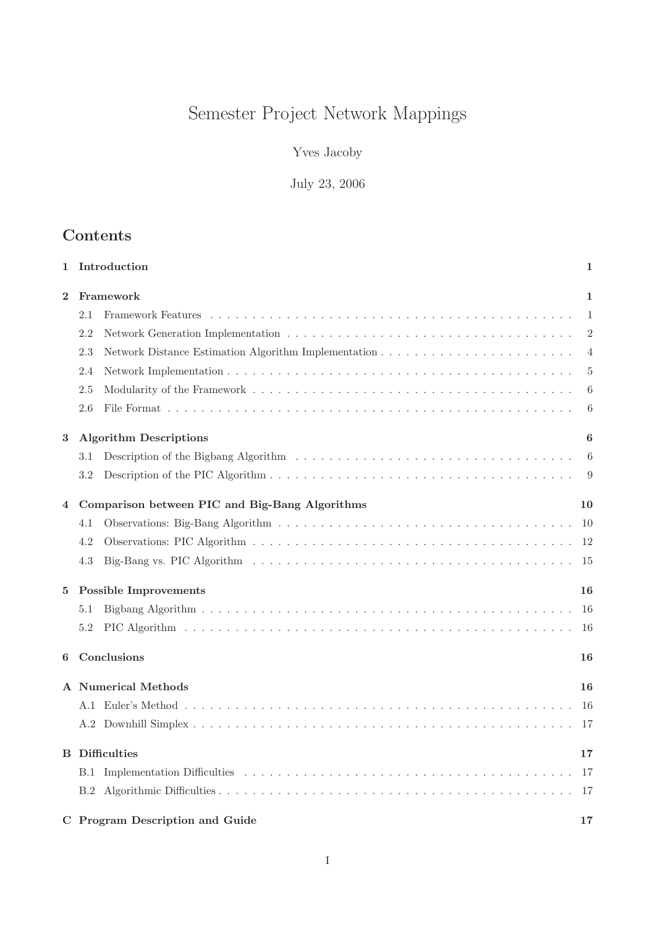# Semester Project Network Mappings

## Yves Jacoby

July 23, 2006

## Contents

| $\mathbf 1$    |                       | Introduction                                   | 1              |  |  |  |
|----------------|-----------------------|------------------------------------------------|----------------|--|--|--|
| $\overline{2}$ |                       | Framework                                      |                |  |  |  |
|                | 2.1                   |                                                | $\mathbf{1}$   |  |  |  |
|                | 2.2                   |                                                | $\overline{2}$ |  |  |  |
|                | 2.3                   |                                                | 4              |  |  |  |
|                | 2.4                   |                                                | 5              |  |  |  |
|                | 2.5                   |                                                | 6              |  |  |  |
|                | 2.6                   |                                                | 6              |  |  |  |
| 3              |                       | <b>Algorithm Descriptions</b>                  | 6              |  |  |  |
|                | 3.1                   |                                                | 6              |  |  |  |
|                | 3.2                   |                                                | 9              |  |  |  |
| 4              |                       | Comparison between PIC and Big-Bang Algorithms | 10             |  |  |  |
|                | 4.1                   |                                                | 10             |  |  |  |
|                | 4.2                   |                                                | 12             |  |  |  |
|                | 4.3                   |                                                | 15             |  |  |  |
| 5              |                       | <b>Possible Improvements</b>                   | 16             |  |  |  |
|                | 5.1                   |                                                | 16             |  |  |  |
|                | 5.2                   |                                                | 16             |  |  |  |
| 6              |                       | Conclusions                                    | 16             |  |  |  |
|                |                       | <b>A</b> Numerical Methods                     | 16             |  |  |  |
|                | A.1                   |                                                | 16             |  |  |  |
|                |                       |                                                | -17            |  |  |  |
|                | <b>B</b> Difficulties |                                                |                |  |  |  |
|                |                       |                                                | 17             |  |  |  |
|                |                       |                                                | 17             |  |  |  |
|                |                       | C Program Description and Guide                | 17             |  |  |  |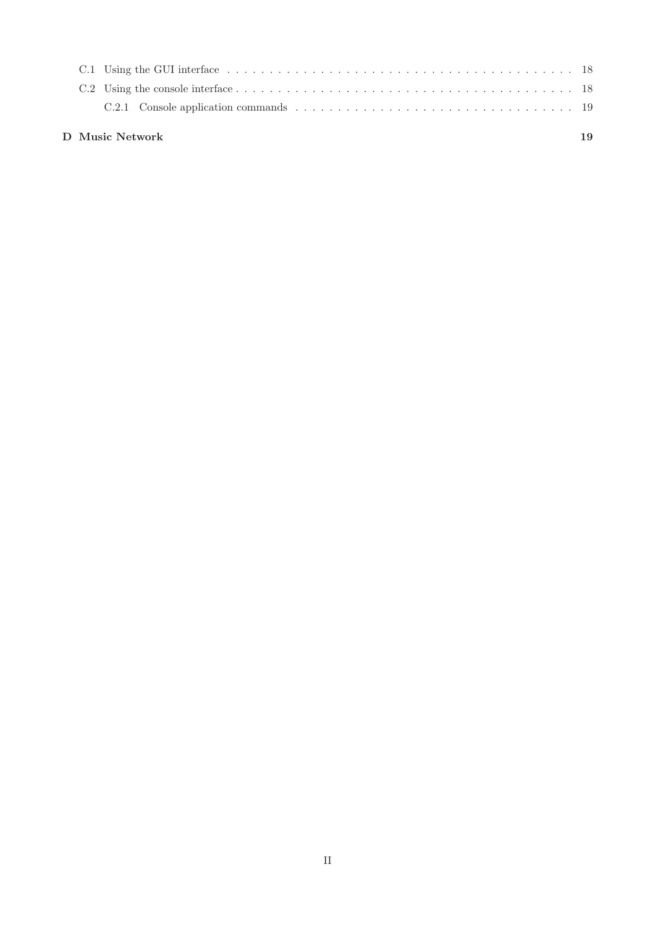#### D Music Network 19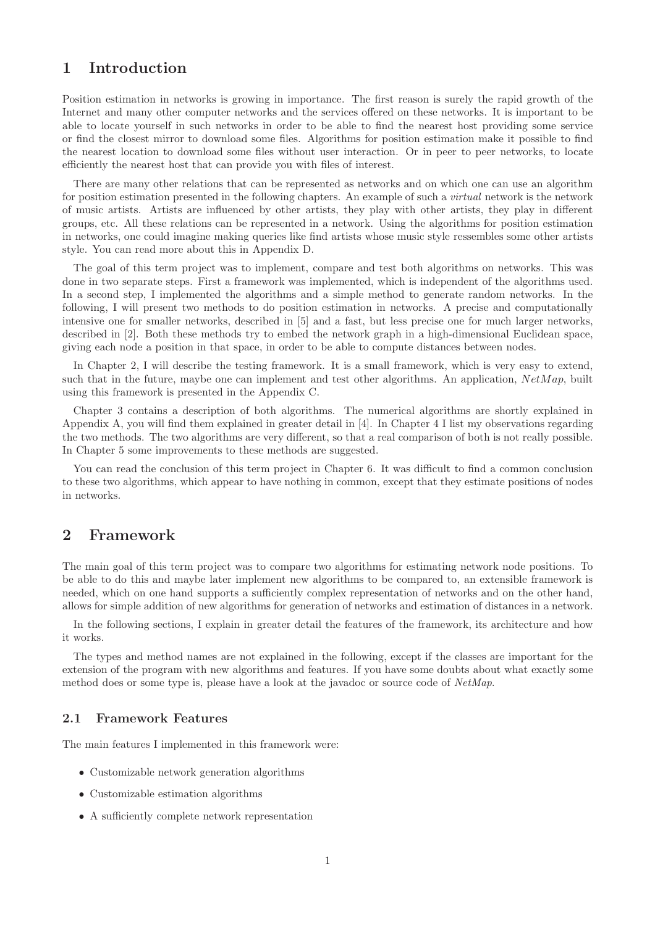## 1 Introduction

Position estimation in networks is growing in importance. The first reason is surely the rapid growth of the Internet and many other computer networks and the services offered on these networks. It is important to be able to locate yourself in such networks in order to be able to find the nearest host providing some service or find the closest mirror to download some files. Algorithms for position estimation make it possible to find the nearest location to download some files without user interaction. Or in peer to peer networks, to locate efficiently the nearest host that can provide you with files of interest.

There are many other relations that can be represented as networks and on which one can use an algorithm for position estimation presented in the following chapters. An example of such a *virtual* network is the network of music artists. Artists are influenced by other artists, they play with other artists, they play in different groups, etc. All these relations can be represented in a network. Using the algorithms for position estimation in networks, one could imagine making queries like find artists whose music style ressembles some other artists style. You can read more about this in Appendix D.

The goal of this term project was to implement, compare and test both algorithms on networks. This was done in two separate steps. First a framework was implemented, which is independent of the algorithms used. In a second step, I implemented the algorithms and a simple method to generate random networks. In the following, I will present two methods to do position estimation in networks. A precise and computationally intensive one for smaller networks, described in [5] and a fast, but less precise one for much larger networks, described in [2]. Both these methods try to embed the network graph in a high-dimensional Euclidean space, giving each node a position in that space, in order to be able to compute distances between nodes.

In Chapter 2, I will describe the testing framework. It is a small framework, which is very easy to extend, such that in the future, maybe one can implement and test other algorithms. An application,  $NetMap$ , built using this framework is presented in the Appendix C.

Chapter 3 contains a description of both algorithms. The numerical algorithms are shortly explained in Appendix A, you will find them explained in greater detail in [4]. In Chapter 4 I list my observations regarding the two methods. The two algorithms are very different, so that a real comparison of both is not really possible. In Chapter 5 some improvements to these methods are suggested.

You can read the conclusion of this term project in Chapter 6. It was difficult to find a common conclusion to these two algorithms, which appear to have nothing in common, except that they estimate positions of nodes in networks.

## 2 Framework

The main goal of this term project was to compare two algorithms for estimating network node positions. To be able to do this and maybe later implement new algorithms to be compared to, an extensible framework is needed, which on one hand supports a sufficiently complex representation of networks and on the other hand, allows for simple addition of new algorithms for generation of networks and estimation of distances in a network.

In the following sections, I explain in greater detail the features of the framework, its architecture and how it works.

The types and method names are not explained in the following, except if the classes are important for the extension of the program with new algorithms and features. If you have some doubts about what exactly some method does or some type is, please have a look at the javadoc or source code of NetMap.

#### 2.1 Framework Features

The main features I implemented in this framework were:

- Customizable network generation algorithms
- Customizable estimation algorithms
- A sufficiently complete network representation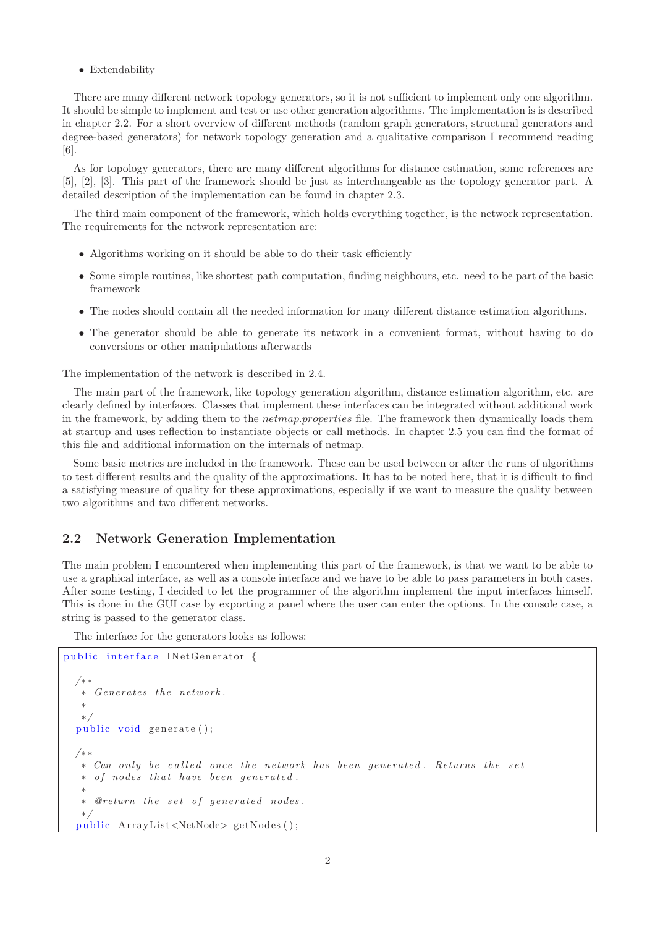• Extendability

There are many different network topology generators, so it is not sufficient to implement only one algorithm. It should be simple to implement and test or use other generation algorithms. The implementation is is described in chapter 2.2. For a short overview of different methods (random graph generators, structural generators and degree-based generators) for network topology generation and a qualitative comparison I recommend reading [6].

As for topology generators, there are many different algorithms for distance estimation, some references are [5], [2], [3]. This part of the framework should be just as interchangeable as the topology generator part. A detailed description of the implementation can be found in chapter 2.3.

The third main component of the framework, which holds everything together, is the network representation. The requirements for the network representation are:

- Algorithms working on it should be able to do their task efficiently
- Some simple routines, like shortest path computation, finding neighbours, etc. need to be part of the basic framework
- The nodes should contain all the needed information for many different distance estimation algorithms.
- The generator should be able to generate its network in a convenient format, without having to do conversions or other manipulations afterwards

The implementation of the network is described in 2.4.

The main part of the framework, like topology generation algorithm, distance estimation algorithm, etc. are clearly defined by interfaces. Classes that implement these interfaces can be integrated without additional work in the framework, by adding them to the *netmap.properties* file. The framework then dynamically loads them at startup and uses reflection to instantiate objects or call methods. In chapter 2.5 you can find the format of this file and additional information on the internals of netmap.

Some basic metrics are included in the framework. These can be used between or after the runs of algorithms to test different results and the quality of the approximations. It has to be noted here, that it is difficult to find a satisfying measure of quality for these approximations, especially if we want to measure the quality between two algorithms and two different networks.

#### 2.2 Network Generation Implementation

The main problem I encountered when implementing this part of the framework, is that we want to be able to use a graphical interface, as well as a console interface and we have to be able to pass parameters in both cases. After some testing, I decided to let the programmer of the algorithm implement the input interfaces himself. This is done in the GUI case by exporting a panel where the user can enter the options. In the console case, a string is passed to the generator class.

The interface for the generators looks as follows:

```
public interface INetGenerator {
  /∗ ∗
   ∗ Genera tes t h e ne tw ork .
   ∗
   ∗/
  public void generate ();
  /∗ ∗
   ∗ Can only be called once the network has been generated. Returns the set
   ∗ of nodes that have been generated.
   ∗
   * @return the set of generated nodes.
   ∗/
 public ArrayList<NetNode> getNodes();
```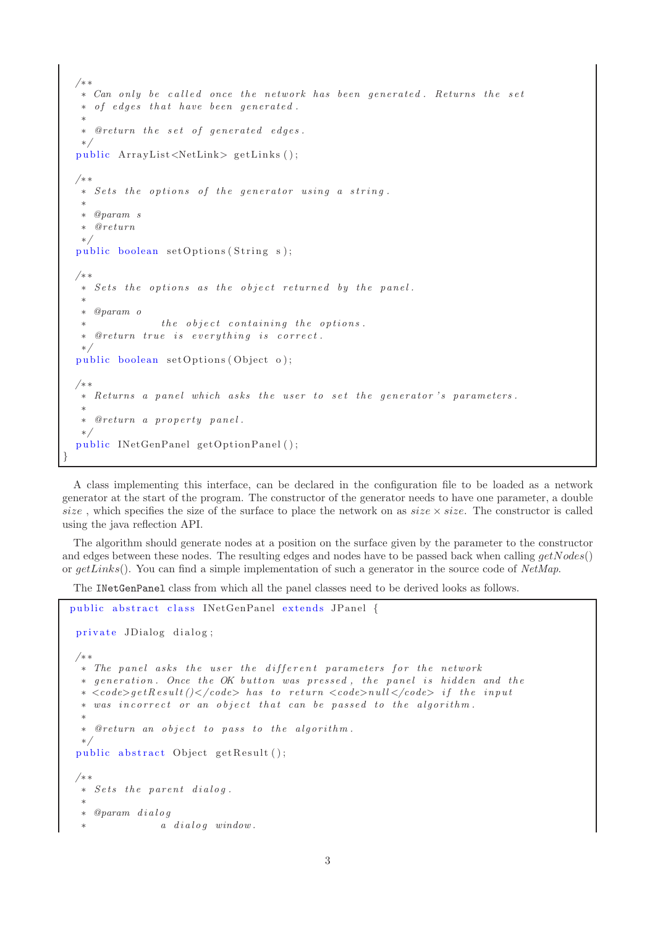```
/∗ ∗
 ∗ Can only be called once the network has been generated. Returns the set
 ∗ of edges that have been generated.
 ∗
 ∗ @return the set of generated edges.
 ∗/
public ArrayList < NetLink > getLinks();
/∗ ∗
 * Sets the options of the generator using a string.
 ∗
 ∗ @param s
 ∗ @re turn
 ∗/
public boolean setOptions (String s);
/∗ ∗
 * Sets the options as the object returned by the panel.
 ∗
 ∗ @param o
               the object containing the options.
  ©return true is everything is correct.
 ∗/
public boolean setOptions (Object o);
/∗ ∗
 ∗ Returns a panel which asks the user to set the generator's parameters.
 ∗
 ∗ @re turn a p r o p e r t y p a n el .
 ∗/
public INetGenPanel getOptionPanel ();
```
A class implementing this interface, can be declared in the configuration file to be loaded as a network generator at the start of the program. The constructor of the generator needs to have one parameter, a double size, which specifies the size of the surface to place the network on as  $size \times size$ . The constructor is called using the java reflection API.

The algorithm should generate nodes at a position on the surface given by the parameter to the constructor and edges between these nodes. The resulting edges and nodes have to be passed back when calling  $getNodes()$ or  $getLinks()$ . You can find a simple implementation of such a generator in the source code of NetMap.

The INetGenPanel class from which all the panel classes need to be derived looks as follows.

}

```
public abstract class INetGenPanel extends JPanel {
private JDialog dialog;
/∗ ∗
 ∗ The panel asks the user the different parameters for the network
 ∗ generation. Once the OK button was pressed, the panel is hidden and the
 * <code>code>gede-getResult</code>() <code></code> code > has to return <code><code>code>null</code> /code> code > if the input∗ was incorrect or an object that can be passed to the algorithm.
  ∗
 ∗ @return an object to pass to the algorithm.
  ∗/
public abstract Object getResult();
/∗ ∗
 \ast Sets the parent dialog.
  ∗
  ∗ @param d i a l o g
                a dialog window.
```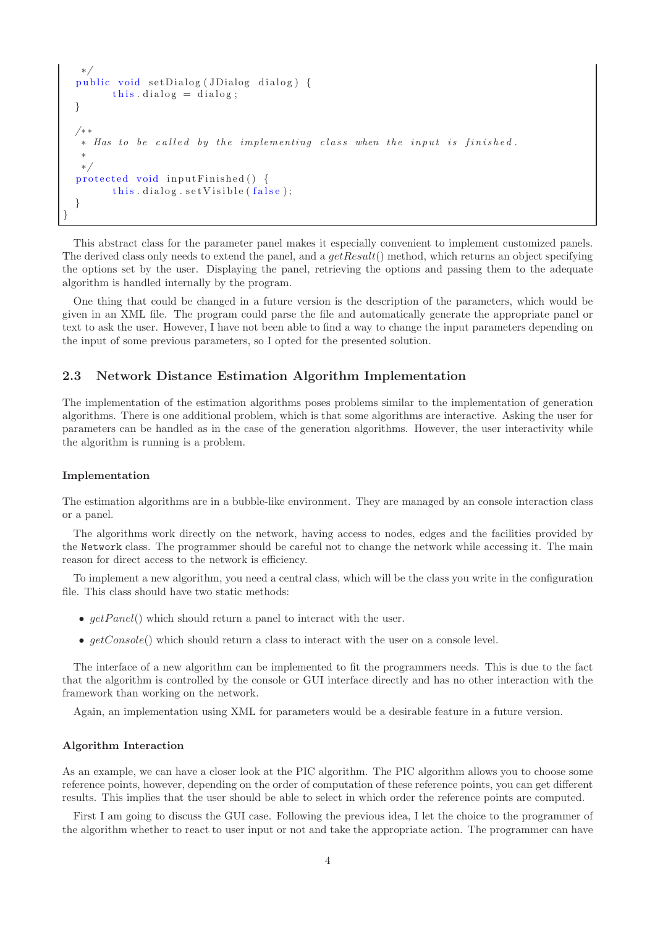```
∗/
 public void set Dialog ( J Dialog dialog ) {
         this \Delta dialog = dialog;
  }
  /∗ ∗
     Has to be called by the implementing class when the input is finished.
   ∗
   ∗/
 protected void input Finished () \{this. dialog. setVisible (false);
  }
}
```
This abstract class for the parameter panel makes it especially convenient to implement customized panels. The derived class only needs to extend the panel, and a getResult() method, which returns an object specifying the options set by the user. Displaying the panel, retrieving the options and passing them to the adequate algorithm is handled internally by the program.

One thing that could be changed in a future version is the description of the parameters, which would be given in an XML file. The program could parse the file and automatically generate the appropriate panel or text to ask the user. However, I have not been able to find a way to change the input parameters depending on the input of some previous parameters, so I opted for the presented solution.

#### 2.3 Network Distance Estimation Algorithm Implementation

The implementation of the estimation algorithms poses problems similar to the implementation of generation algorithms. There is one additional problem, which is that some algorithms are interactive. Asking the user for parameters can be handled as in the case of the generation algorithms. However, the user interactivity while the algorithm is running is a problem.

#### Implementation

The estimation algorithms are in a bubble-like environment. They are managed by an console interaction class or a panel.

The algorithms work directly on the network, having access to nodes, edges and the facilities provided by the Network class. The programmer should be careful not to change the network while accessing it. The main reason for direct access to the network is efficiency.

To implement a new algorithm, you need a central class, which will be the class you write in the configuration file. This class should have two static methods:

- $get Panel()$  which should return a panel to interact with the user.
- $getConsole()$  which should return a class to interact with the user on a console level.

The interface of a new algorithm can be implemented to fit the programmers needs. This is due to the fact that the algorithm is controlled by the console or GUI interface directly and has no other interaction with the framework than working on the network.

Again, an implementation using XML for parameters would be a desirable feature in a future version.

#### Algorithm Interaction

As an example, we can have a closer look at the PIC algorithm. The PIC algorithm allows you to choose some reference points, however, depending on the order of computation of these reference points, you can get different results. This implies that the user should be able to select in which order the reference points are computed.

First I am going to discuss the GUI case. Following the previous idea, I let the choice to the programmer of the algorithm whether to react to user input or not and take the appropriate action. The programmer can have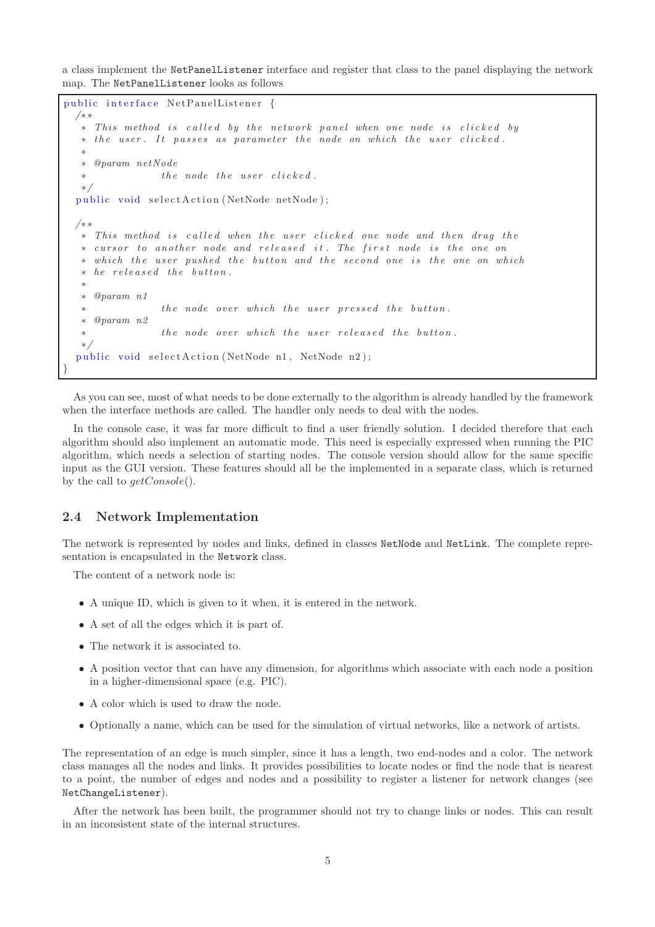a class implement the NetPanelListener interface and register that class to the panel displaying the network map. The NetPanelListener looks as follows

```
public interface NetPanelListener {
  /∗ ∗
    This method is called by the network panel when one node is clicked by
   ∗ the user. It passes as parameter the node on which the user clicked.
   ∗
    ∗ @param netNode
                the\ node\ the\ user\ clicked.
   ∗/
  public void selectAction (NetNode netNode);
  /∗ ∗
   ∗ This method is called when the user clicked one node and then drag the
   ∗ cursor to another node and released it. The first node is the one on
    which the user pushed the button and the second one is the one on which
   ∗ he r e l e a s e d t h e b u t t o n .
   ∗
   ∗ @param n1
                 the node over which the user pressed the button.
     ∗ @param n2
                 the node over which the user released the button.
   ∗/
  public void selectAction (NetNode n1, NetNode n2);
}
```
As you can see, most of what needs to be done externally to the algorithm is already handled by the framework when the interface methods are called. The handler only needs to deal with the nodes.

In the console case, it was far more difficult to find a user friendly solution. I decided therefore that each algorithm should also implement an automatic mode. This need is especially expressed when running the PIC algorithm, which needs a selection of starting nodes. The console version should allow for the same specific input as the GUI version. These features should all be the implemented in a separate class, which is returned by the call to  $getConsole()$ .

#### 2.4 Network Implementation

The network is represented by nodes and links, defined in classes NetNode and NetLink. The complete representation is encapsulated in the Network class.

The content of a network node is:

- A unique ID, which is given to it when, it is entered in the network.
- A set of all the edges which it is part of.
- The network it is associated to.
- A position vector that can have any dimension, for algorithms which associate with each node a position in a higher-dimensional space (e.g. PIC).
- A color which is used to draw the node.
- Optionally a name, which can be used for the simulation of virtual networks, like a network of artists.

The representation of an edge is much simpler, since it has a length, two end-nodes and a color. The network class manages all the nodes and links. It provides possibilities to locate nodes or find the node that is nearest to a point, the number of edges and nodes and a possibility to register a listener for network changes (see NetChangeListener).

After the network has been built, the programmer should not try to change links or nodes. This can result in an inconsistent state of the internal structures.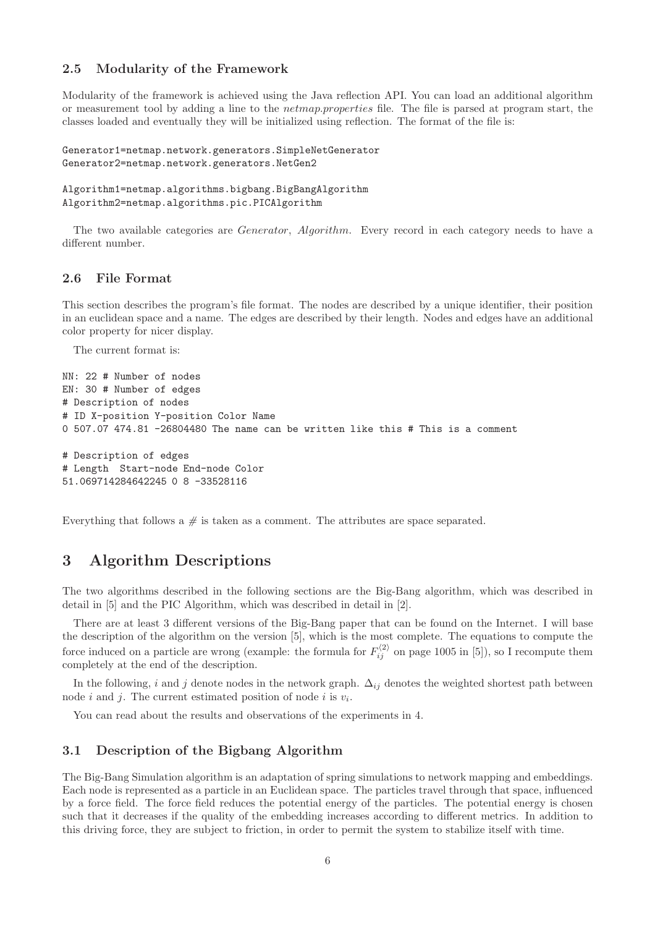#### 2.5 Modularity of the Framework

Modularity of the framework is achieved using the Java reflection API. You can load an additional algorithm or measurement tool by adding a line to the netmap.properties file. The file is parsed at program start, the classes loaded and eventually they will be initialized using reflection. The format of the file is:

```
Generator1=netmap.network.generators.SimpleNetGenerator
Generator2=netmap.network.generators.NetGen2
```

```
Algorithm1=netmap.algorithms.bigbang.BigBangAlgorithm
Algorithm2=netmap.algorithms.pic.PICAlgorithm
```
The two available categories are Generator, Algorithm. Every record in each category needs to have a different number.

#### 2.6 File Format

This section describes the program's file format. The nodes are described by a unique identifier, their position in an euclidean space and a name. The edges are described by their length. Nodes and edges have an additional color property for nicer display.

The current format is:

```
NN: 22 # Number of nodes
EN: 30 # Number of edges
# Description of nodes
# ID X-position Y-position Color Name
0 507.07 474.81 -26804480 The name can be written like this # This is a comment
# Description of edges
# Length Start-node End-node Color
51.069714284642245 0 8 -33528116
```
Everything that follows a  $\#$  is taken as a comment. The attributes are space separated.

## 3 Algorithm Descriptions

The two algorithms described in the following sections are the Big-Bang algorithm, which was described in detail in [5] and the PIC Algorithm, which was described in detail in [2].

There are at least 3 different versions of the Big-Bang paper that can be found on the Internet. I will base the description of the algorithm on the version [5], which is the most complete. The equations to compute the force induced on a particle are wrong (example: the formula for  $F_{ij}^{(2)}$  on page 1005 in [5]), so I recompute them completely at the end of the description.

In the following, i and j denote nodes in the network graph.  $\Delta_{ij}$  denotes the weighted shortest path between node *i* and *j*. The current estimated position of node *i* is  $v_i$ .

You can read about the results and observations of the experiments in 4.

#### 3.1 Description of the Bigbang Algorithm

The Big-Bang Simulation algorithm is an adaptation of spring simulations to network mapping and embeddings. Each node is represented as a particle in an Euclidean space. The particles travel through that space, influenced by a force field. The force field reduces the potential energy of the particles. The potential energy is chosen such that it decreases if the quality of the embedding increases according to different metrics. In addition to this driving force, they are subject to friction, in order to permit the system to stabilize itself with time.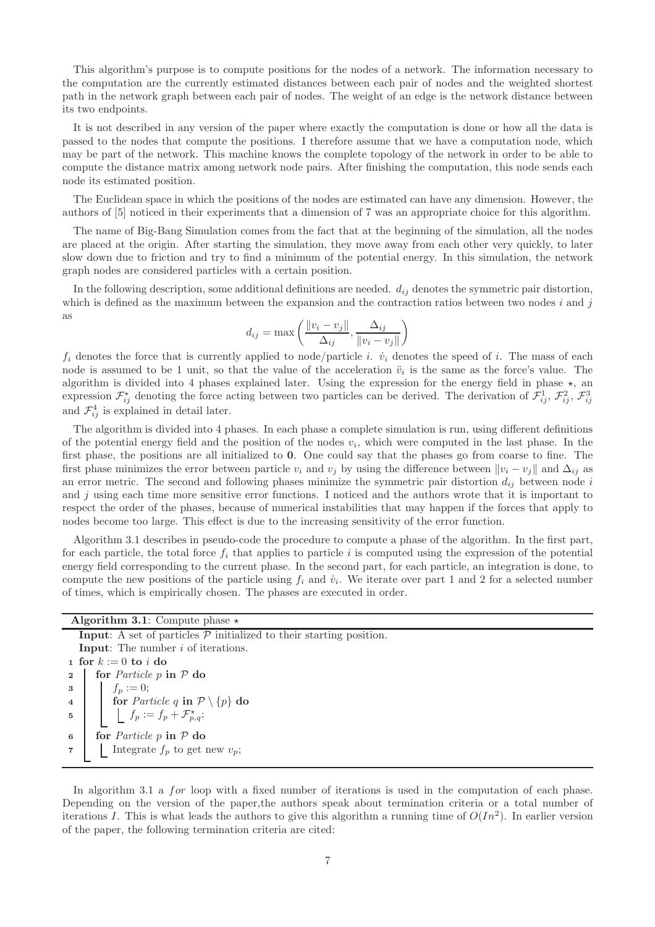This algorithm's purpose is to compute positions for the nodes of a network. The information necessary to the computation are the currently estimated distances between each pair of nodes and the weighted shortest path in the network graph between each pair of nodes. The weight of an edge is the network distance between its two endpoints.

It is not described in any version of the paper where exactly the computation is done or how all the data is passed to the nodes that compute the positions. I therefore assume that we have a computation node, which may be part of the network. This machine knows the complete topology of the network in order to be able to compute the distance matrix among network node pairs. After finishing the computation, this node sends each node its estimated position.

The Euclidean space in which the positions of the nodes are estimated can have any dimension. However, the authors of [5] noticed in their experiments that a dimension of 7 was an appropriate choice for this algorithm.

The name of Big-Bang Simulation comes from the fact that at the beginning of the simulation, all the nodes are placed at the origin. After starting the simulation, they move away from each other very quickly, to later slow down due to friction and try to find a minimum of the potential energy. In this simulation, the network graph nodes are considered particles with a certain position.

In the following description, some additional definitions are needed.  $d_{ij}$  denotes the symmetric pair distortion, which is defined as the maximum between the expansion and the contraction ratios between two nodes  $i$  and  $j$ as

$$
d_{ij} = \max\left(\frac{\|v_i - v_j\|}{\Delta_{ij}}, \frac{\Delta_{ij}}{\|v_i - v_j\|}\right)
$$

 $f_i$  denotes the force that is currently applied to node/particle *i.*  $\dot{v}_i$  denotes the speed of *i*. The mass of each node is assumed to be 1 unit, so that the value of the acceleration  $\ddot{v}_i$  is the same as the force's value. The algorithm is divided into 4 phases explained later. Using the expression for the energy field in phase  $\star$ , an expression  $\mathcal{F}_{ij}^{\star}$  denoting the force acting between two particles can be derived. The derivation of  $\mathcal{F}_{ij}^1$ ,  $\mathcal{F}_{ij}^2$ ,  $\mathcal{F}_{ij}^3$ and  $\mathcal{F}_{ij}^4$  is explained in detail later.

The algorithm is divided into 4 phases. In each phase a complete simulation is run, using different definitions of the potential energy field and the position of the nodes  $v_i$ , which were computed in the last phase. In the first phase, the positions are all initialized to 0. One could say that the phases go from coarse to fine. The first phase minimizes the error between particle  $v_i$  and  $v_j$  by using the difference between  $\|v_i - v_j\|$  and  $\Delta_{ij}$  as an error metric. The second and following phases minimize the symmetric pair distortion  $d_{ij}$  between node i and  $j$  using each time more sensitive error functions. I noticed and the authors wrote that it is important to respect the order of the phases, because of numerical instabilities that may happen if the forces that apply to nodes become too large. This effect is due to the increasing sensitivity of the error function.

Algorithm 3.1 describes in pseudo-code the procedure to compute a phase of the algorithm. In the first part, for each particle, the total force  $f_i$  that applies to particle i is computed using the expression of the potential energy field corresponding to the current phase. In the second part, for each particle, an integration is done, to compute the new positions of the particle using  $f_i$  and  $\dot{v}_i$ . We iterate over part 1 and 2 for a selected number of times, which is empirically chosen. The phases are executed in order.

| <b>Algorithm 3.1:</b> Compute phase $\star$                                  |  |  |  |  |  |
|------------------------------------------------------------------------------|--|--|--|--|--|
| <b>Input:</b> A set of particles $P$ initialized to their starting position. |  |  |  |  |  |
| <b>Input:</b> The number $i$ of iterations.                                  |  |  |  |  |  |
| 1 for $k := 0$ to i do                                                       |  |  |  |  |  |
| for <i>Particle</i> $p$ in $\mathcal P$ do<br>$\overline{2}$                 |  |  |  |  |  |
| $f_p := 0;$<br>3 <sup>1</sup>                                                |  |  |  |  |  |
| for <i>Particle q</i> in $P \setminus \{p\}$ do<br>$\overline{4}$            |  |  |  |  |  |
| $\iint_p := f_p + \mathcal{F}^{\star}_{p,q};$<br>$5\overline{)}$             |  |  |  |  |  |
| for <i>Particle</i> $p$ in $\mathcal P$ do<br>6                              |  |  |  |  |  |
| Integrate $f_p$ to get new $v_p$ ;<br>$\overline{7}$                         |  |  |  |  |  |

In algorithm 3.1 a *for* loop with a fixed number of iterations is used in the computation of each phase. Depending on the version of the paper,the authors speak about termination criteria or a total number of iterations I. This is what leads the authors to give this algorithm a running time of  $O(In^2)$ . In earlier version of the paper, the following termination criteria are cited: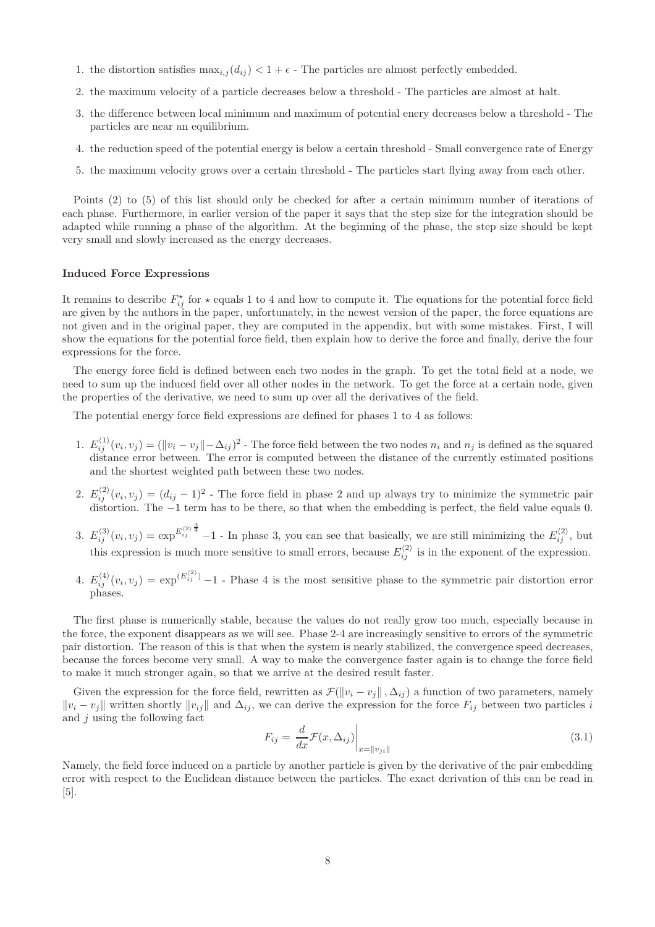- 1. the distortion satisfies  $\max_{i,j} (d_{ij}) < 1 + \epsilon$  The particles are almost perfectly embedded.
- 2. the maximum velocity of a particle decreases below a threshold The particles are almost at halt.
- 3. the difference between local minimum and maximum of potential enery decreases below a threshold The particles are near an equilibrium.
- 4. the reduction speed of the potential energy is below a certain threshold Small convergence rate of Energy
- 5. the maximum velocity grows over a certain threshold The particles start flying away from each other.

Points (2) to (5) of this list should only be checked for after a certain minimum number of iterations of each phase. Furthermore, in earlier version of the paper it says that the step size for the integration should be adapted while running a phase of the algorithm. At the beginning of the phase, the step size should be kept very small and slowly increased as the energy decreases.

#### Induced Force Expressions

It remains to describe  $F_{ij}^{\star}$  for  $\star$  equals 1 to 4 and how to compute it. The equations for the potential force field are given by the authors in the paper, unfortunately, in the newest version of the paper, the force equations are not given and in the original paper, they are computed in the appendix, but with some mistakes. First, I will show the equations for the potential force field, then explain how to derive the force and finally, derive the four expressions for the force.

The energy force field is defined between each two nodes in the graph. To get the total field at a node, we need to sum up the induced field over all other nodes in the network. To get the force at a certain node, given the properties of the derivative, we need to sum up over all the derivatives of the field.

The potential energy force field expressions are defined for phases 1 to 4 as follows:

- 1.  $E_{ij}^{(1)}(v_i, v_j) = (\|v_i v_j\| \Delta_{ij})^2$  The force field between the two nodes  $n_i$  and  $n_j$  is defined as the squared distance error between. The error is computed between the distance of the currently estimated positions and the shortest weighted path between these two nodes.
- 2.  $E_{ij}^{(2)}(v_i, v_j) = (d_{ij} 1)^2$ . The force field in phase 2 and up always try to minimize the symmetric pair distortion. The −1 term has to be there, so that when the embedding is perfect, the field value equals 0.
- 3.  $E_{ij}^{\langle 3 \rangle}(v_i, v_j) = \exp^{E_{ij}^{\langle 2 \rangle}}$  $\frac{3}{4}$  -1 - In phase 3, you can see that basically, we are still minimizing the  $E_{ij}^{\langle 2 \rangle}$ , but this expression is much more sensitive to small errors, because  $E_{ij}^{(2)}$  is in the exponent of the expression.
- 4.  $E_{ij}^{(4)}(v_i, v_j) = \exp^{(E_{ij}^{(2)})} 1$  Phase 4 is the most sensitive phase to the symmetric pair distortion error phases.

The first phase is numerically stable, because the values do not really grow too much, especially because in the force, the exponent disappears as we will see. Phase 2-4 are increasingly sensitive to errors of the symmetric pair distortion. The reason of this is that when the system is nearly stabilized, the convergence speed decreases, because the forces become very small. A way to make the convergence faster again is to change the force field to make it much stronger again, so that we arrive at the desired result faster.

Given the expression for the force field, rewritten as  $\mathcal{F}(\Vert v_i - v_j \Vert, \Delta_{ij})$  a function of two parameters, namely  $||v_i - v_j||$  written shortly  $||v_{ij}||$  and  $\Delta_{ij}$ , we can derive the expression for the force  $F_{ij}$  between two particles i and  $j$  using the following fact

$$
F_{ij} = \frac{d}{dx} \mathcal{F}(x, \Delta_{ij}) \Big|_{x = \|v_{ji}\|}
$$
\n(3.1)

Namely, the field force induced on a particle by another particle is given by the derivative of the pair embedding error with respect to the Euclidean distance between the particles. The exact derivation of this can be read in [5].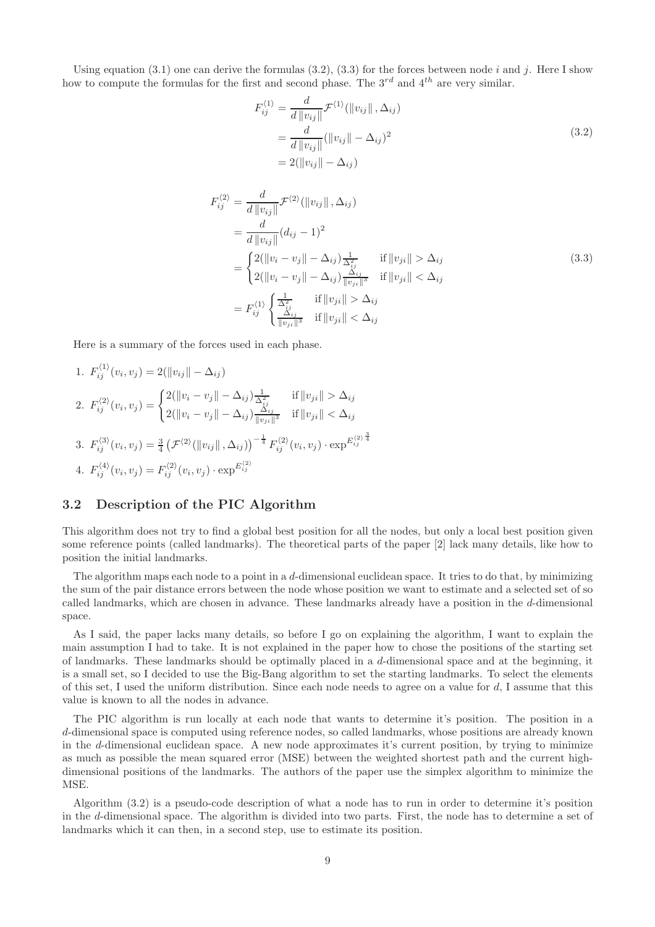Using equation (3.1) one can derive the formulas (3.2), (3.3) for the forces between node i and j. Here I show how to compute the formulas for the first and second phase. The  $3^{rd}$  and  $4^{th}$  are very similar.

$$
F_{ij}^{\langle 1 \rangle} = \frac{d}{d \|v_{ij}\|} \mathcal{F}^{\langle 1 \rangle}(\|v_{ij}\|, \Delta_{ij})
$$
  
= 
$$
\frac{d}{d \|v_{ij}\|} (\|v_{ij}\| - \Delta_{ij})^2
$$
  
= 
$$
2(\|v_{ij}\| - \Delta_{ij})
$$
 (3.2)

$$
F_{ij}^{(2)} = \frac{d}{d ||v_{ij}||} \mathcal{F}^{(2)}(||v_{ij}||, \Delta_{ij})
$$
  
\n
$$
= \frac{d}{d ||v_{ij}||} (d_{ij} - 1)^2
$$
  
\n
$$
= \begin{cases} 2(||v_i - v_j|| - \Delta_{ij})\frac{1}{\Delta_{ij}^2} & \text{if } ||v_{ji}|| > \Delta_{ij} \\ 2(||v_i - v_j|| - \Delta_{ij})\frac{\Delta_{ij}}{||v_{ji}||^3} & \text{if } ||v_{ji}|| < \Delta_{ij} \end{cases}
$$
  
\n
$$
= F_{ij}^{(1)} \begin{cases} \frac{1}{\Delta_{ij}^2} & \text{if } ||v_{ji}|| > \Delta_{ij} \\ \frac{\Delta_{ij}}{||v_{ji}||^3} & \text{if } ||v_{ji}|| < \Delta_{ij} \end{cases}
$$
\n(3.3)

Here is a summary of the forces used in each phase.

1. 
$$
F_{ij}^{(1)}(v_i, v_j) = 2(||v_{ij}|| - \Delta_{ij})
$$
  
\n2.  $F_{ij}^{(2)}(v_i, v_j) = \begin{cases} 2(||v_i - v_j|| - \Delta_{ij})\frac{1}{\Delta_{ij}^2} & \text{if } ||v_{ji}|| > \Delta_{ij} \\ 2(||v_i - v_j|| - \Delta_{ij})\frac{\Delta_{ij}}{||v_{ji}||^3} & \text{if } ||v_{ji}|| < \Delta_{ij} \end{cases}$   
\n3.  $F_{ij}^{(3)}(v_i, v_j) = \frac{3}{4} (\mathcal{F}^{(2)}(||v_{ij}||, \Delta_{ij}))^{-\frac{1}{4}} F_{ij}^{(2)}(v_i, v_j) \cdot \exp^{E_{ij}^{(2)\frac{3}{4}}}$   
\n4.  $F_{ij}^{(4)}(v_i, v_j) = F_{ij}^{(2)}(v_i, v_j) \cdot \exp^{E_{ij}^{(2)}}$ 

#### 3.2 Description of the PIC Algorithm

This algorithm does not try to find a global best position for all the nodes, but only a local best position given some reference points (called landmarks). The theoretical parts of the paper [2] lack many details, like how to position the initial landmarks.

The algorithm maps each node to a point in a d-dimensional euclidean space. It tries to do that, by minimizing the sum of the pair distance errors between the node whose position we want to estimate and a selected set of so called landmarks, which are chosen in advance. These landmarks already have a position in the d-dimensional space.

As I said, the paper lacks many details, so before I go on explaining the algorithm, I want to explain the main assumption I had to take. It is not explained in the paper how to chose the positions of the starting set of landmarks. These landmarks should be optimally placed in a d-dimensional space and at the beginning, it is a small set, so I decided to use the Big-Bang algorithm to set the starting landmarks. To select the elements of this set, I used the uniform distribution. Since each node needs to agree on a value for  $d$ , I assume that this value is known to all the nodes in advance.

The PIC algorithm is run locally at each node that wants to determine it's position. The position in a d-dimensional space is computed using reference nodes, so called landmarks, whose positions are already known in the d-dimensional euclidean space. A new node approximates it's current position, by trying to minimize as much as possible the mean squared error (MSE) between the weighted shortest path and the current highdimensional positions of the landmarks. The authors of the paper use the simplex algorithm to minimize the MSE.

Algorithm (3.2) is a pseudo-code description of what a node has to run in order to determine it's position in the d-dimensional space. The algorithm is divided into two parts. First, the node has to determine a set of landmarks which it can then, in a second step, use to estimate its position.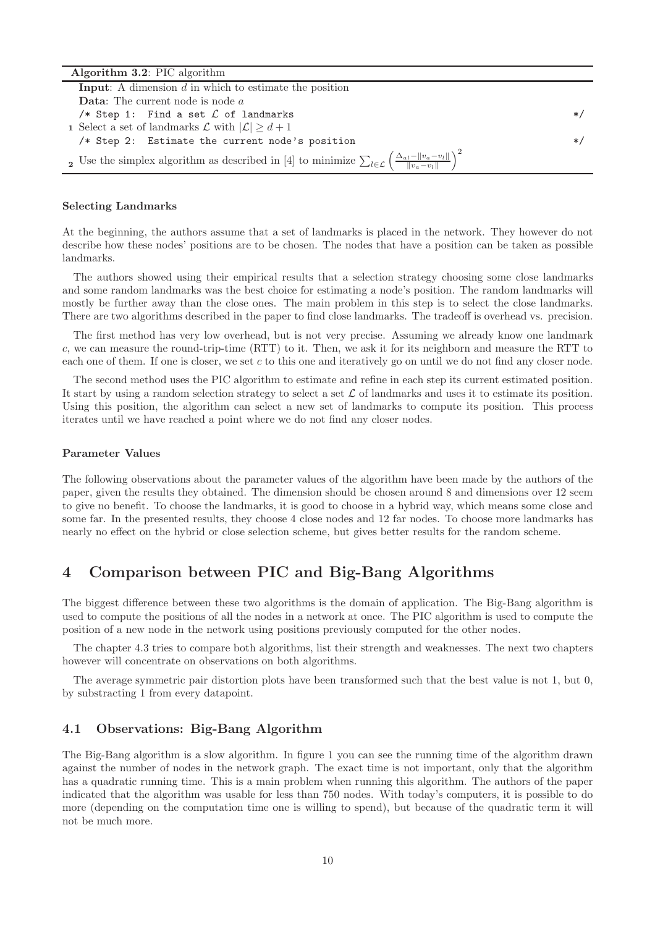| Algorithm 3.2: PIC algorithm                                                                                                                              |     |
|-----------------------------------------------------------------------------------------------------------------------------------------------------------|-----|
| <b>Input:</b> A dimension $d$ in which to estimate the position                                                                                           |     |
| <b>Data:</b> The current node is node $a$                                                                                                                 |     |
| /* Step 1: Find a set $\mathcal L$ of landmarks                                                                                                           | $*$ |
| 1 Select a set of landmarks $\mathcal L$ with $ \mathcal L  \geq d+1$                                                                                     |     |
| /* Step 2: Estimate the current node's position                                                                                                           | $*$ |
| 2 Use the simplex algorithm as described in [4] to minimize $\sum_{l \in \mathcal{L}} \left( \frac{\Delta_{al} -   v_a - v_l  }{  v_a - v_l  } \right)^2$ |     |

#### Selecting Landmarks

At the beginning, the authors assume that a set of landmarks is placed in the network. They however do not describe how these nodes' positions are to be chosen. The nodes that have a position can be taken as possible landmarks.

The authors showed using their empirical results that a selection strategy choosing some close landmarks and some random landmarks was the best choice for estimating a node's position. The random landmarks will mostly be further away than the close ones. The main problem in this step is to select the close landmarks. There are two algorithms described in the paper to find close landmarks. The tradeoff is overhead vs. precision.

The first method has very low overhead, but is not very precise. Assuming we already know one landmark c, we can measure the round-trip-time (RTT) to it. Then, we ask it for its neighborn and measure the RTT to each one of them. If one is closer, we set c to this one and iteratively go on until we do not find any closer node.

The second method uses the PIC algorithm to estimate and refine in each step its current estimated position. It start by using a random selection strategy to select a set  $\mathcal L$  of landmarks and uses it to estimate its position. Using this position, the algorithm can select a new set of landmarks to compute its position. This process iterates until we have reached a point where we do not find any closer nodes.

#### Parameter Values

The following observations about the parameter values of the algorithm have been made by the authors of the paper, given the results they obtained. The dimension should be chosen around 8 and dimensions over 12 seem to give no benefit. To choose the landmarks, it is good to choose in a hybrid way, which means some close and some far. In the presented results, they choose 4 close nodes and 12 far nodes. To choose more landmarks has nearly no effect on the hybrid or close selection scheme, but gives better results for the random scheme.

## 4 Comparison between PIC and Big-Bang Algorithms

The biggest difference between these two algorithms is the domain of application. The Big-Bang algorithm is used to compute the positions of all the nodes in a network at once. The PIC algorithm is used to compute the position of a new node in the network using positions previously computed for the other nodes.

The chapter 4.3 tries to compare both algorithms, list their strength and weaknesses. The next two chapters however will concentrate on observations on both algorithms.

The average symmetric pair distortion plots have been transformed such that the best value is not 1, but 0, by substracting 1 from every datapoint.

#### 4.1 Observations: Big-Bang Algorithm

The Big-Bang algorithm is a slow algorithm. In figure 1 you can see the running time of the algorithm drawn against the number of nodes in the network graph. The exact time is not important, only that the algorithm has a quadratic running time. This is a main problem when running this algorithm. The authors of the paper indicated that the algorithm was usable for less than 750 nodes. With today's computers, it is possible to do more (depending on the computation time one is willing to spend), but because of the quadratic term it will not be much more.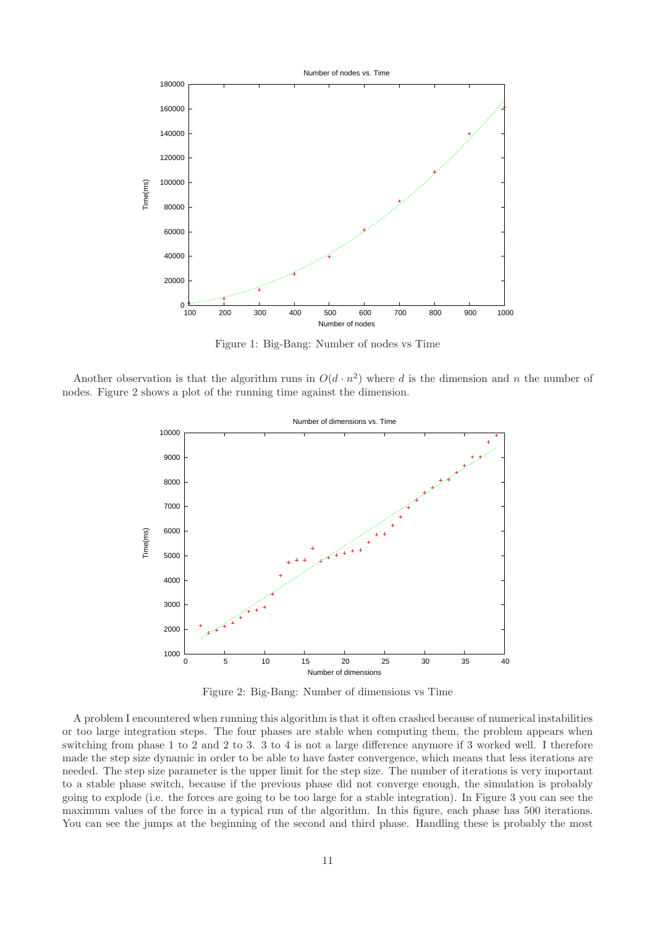

Figure 1: Big-Bang: Number of nodes vs Time

Another observation is that the algorithm runs in  $O(d \cdot n^2)$  where d is the dimension and n the number of nodes. Figure 2 shows a plot of the running time against the dimension.



Figure 2: Big-Bang: Number of dimensions vs Time

A problem I encountered when running this algorithm is that it often crashed because of numerical instabilities or too large integration steps. The four phases are stable when computing them, the problem appears when switching from phase 1 to 2 and 2 to 3. 3 to 4 is not a large difference anymore if 3 worked well. I therefore made the step size dynamic in order to be able to have faster convergence, which means that less iterations are needed. The step size parameter is the upper limit for the step size. The number of iterations is very important to a stable phase switch, because if the previous phase did not converge enough, the simulation is probably going to explode (i.e. the forces are going to be too large for a stable integration). In Figure 3 you can see the maximum values of the force in a typical run of the algorithm. In this figure, each phase has 500 iterations. You can see the jumps at the beginning of the second and third phase. Handling these is probably the most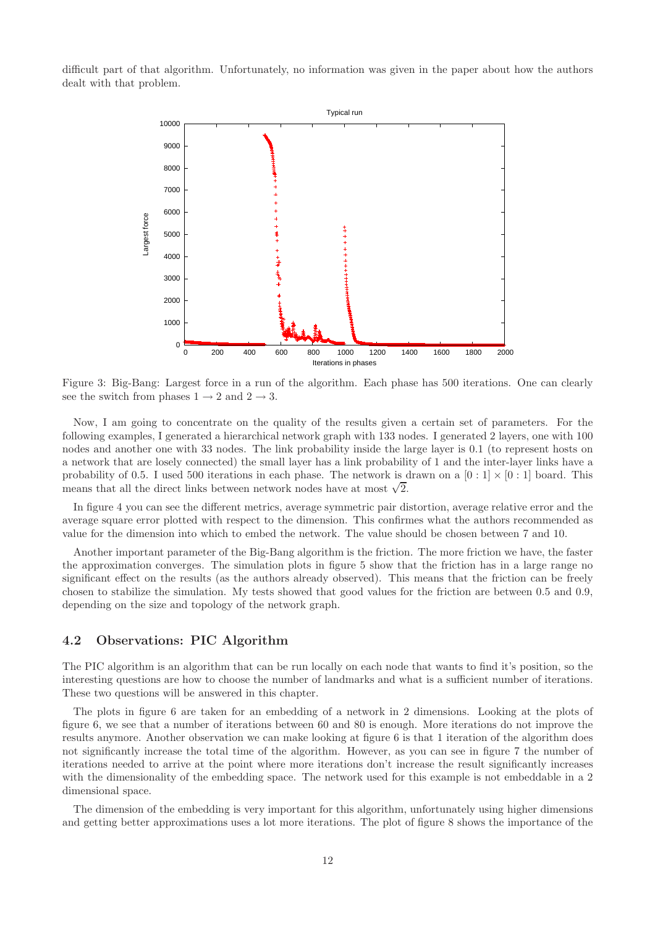difficult part of that algorithm. Unfortunately, no information was given in the paper about how the authors dealt with that problem.



Figure 3: Big-Bang: Largest force in a run of the algorithm. Each phase has 500 iterations. One can clearly see the switch from phases  $1 \rightarrow 2$  and  $2 \rightarrow 3$ .

Now, I am going to concentrate on the quality of the results given a certain set of parameters. For the following examples, I generated a hierarchical network graph with 133 nodes. I generated 2 layers, one with 100 nodes and another one with 33 nodes. The link probability inside the large layer is 0.1 (to represent hosts on a network that are losely connected) the small layer has a link probability of 1 and the inter-layer links have a probability of 0.5. I used 500 iterations in each phase. The network is drawn on a  $[0:1] \times [0:1]$  board. This means that all the direct links between network nodes have at most  $\sqrt{2}$ .

In figure 4 you can see the different metrics, average symmetric pair distortion, average relative error and the average square error plotted with respect to the dimension. This confirmes what the authors recommended as value for the dimension into which to embed the network. The value should be chosen between 7 and 10.

Another important parameter of the Big-Bang algorithm is the friction. The more friction we have, the faster the approximation converges. The simulation plots in figure 5 show that the friction has in a large range no significant effect on the results (as the authors already observed). This means that the friction can be freely chosen to stabilize the simulation. My tests showed that good values for the friction are between 0.5 and 0.9, depending on the size and topology of the network graph.

#### 4.2 Observations: PIC Algorithm

The PIC algorithm is an algorithm that can be run locally on each node that wants to find it's position, so the interesting questions are how to choose the number of landmarks and what is a sufficient number of iterations. These two questions will be answered in this chapter.

The plots in figure 6 are taken for an embedding of a network in 2 dimensions. Looking at the plots of figure 6, we see that a number of iterations between 60 and 80 is enough. More iterations do not improve the results anymore. Another observation we can make looking at figure 6 is that 1 iteration of the algorithm does not significantly increase the total time of the algorithm. However, as you can see in figure 7 the number of iterations needed to arrive at the point where more iterations don't increase the result significantly increases with the dimensionality of the embedding space. The network used for this example is not embeddable in a 2 dimensional space.

The dimension of the embedding is very important for this algorithm, unfortunately using higher dimensions and getting better approximations uses a lot more iterations. The plot of figure 8 shows the importance of the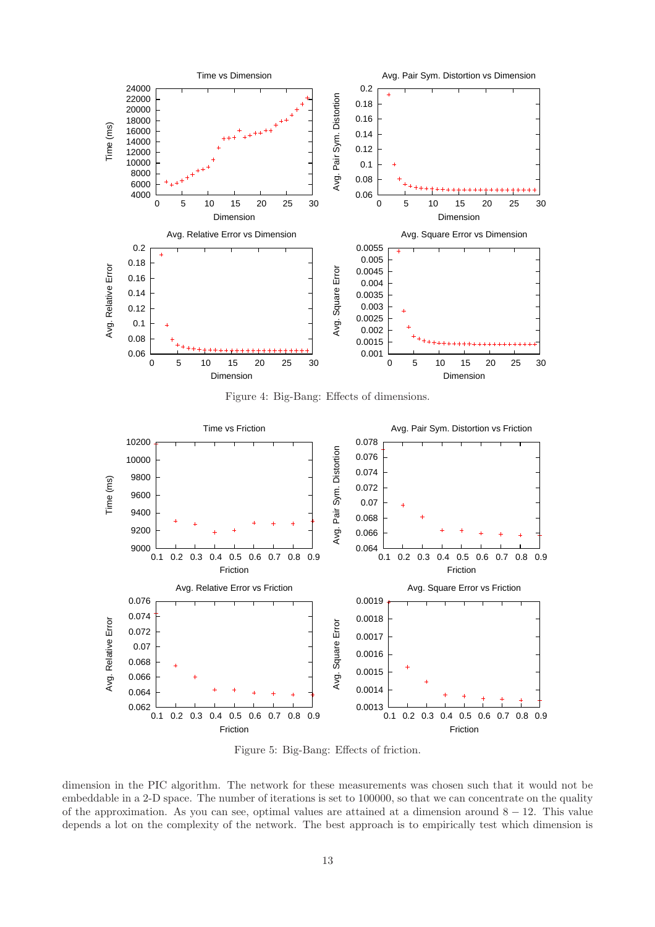

Figure 4: Big-Bang: Effects of dimensions.



Figure 5: Big-Bang: Effects of friction.

dimension in the PIC algorithm. The network for these measurements was chosen such that it would not be embeddable in a 2-D space. The number of iterations is set to 100000, so that we can concentrate on the quality of the approximation. As you can see, optimal values are attained at a dimension around  $8 - 12$ . This value depends a lot on the complexity of the network. The best approach is to empirically test which dimension is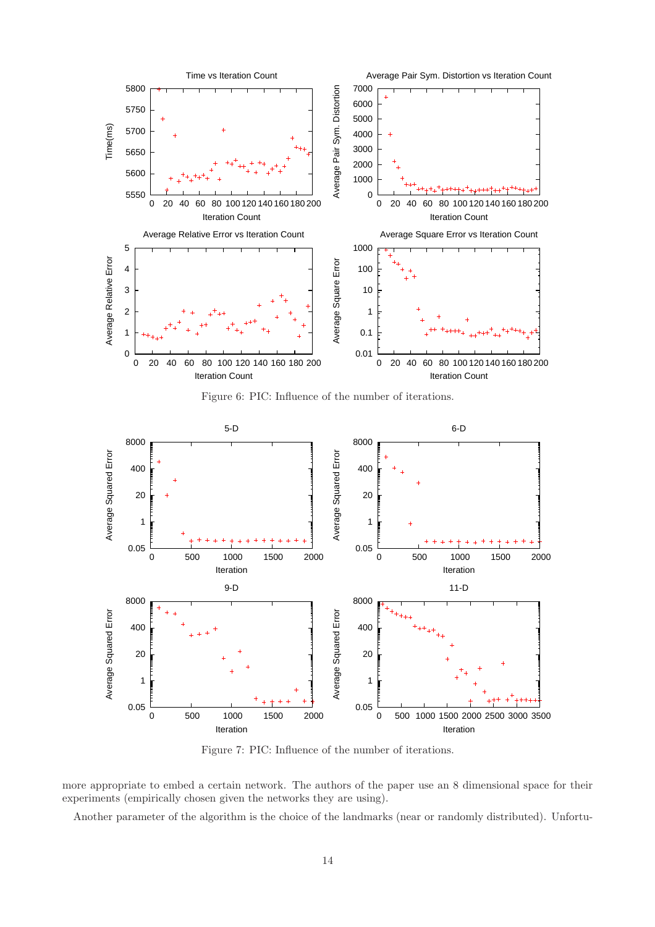

Figure 6: PIC: Influence of the number of iterations.



Figure 7: PIC: Influence of the number of iterations.

more appropriate to embed a certain network. The authors of the paper use an 8 dimensional space for their experiments (empirically chosen given the networks they are using).

Another parameter of the algorithm is the choice of the landmarks (near or randomly distributed). Unfortu-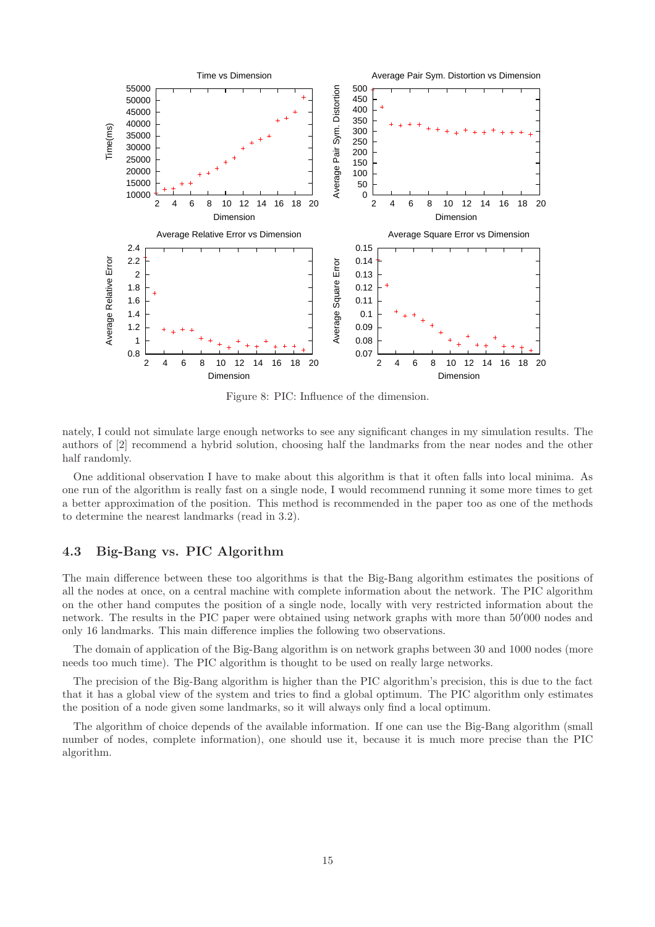

Figure 8: PIC: Influence of the dimension.

nately, I could not simulate large enough networks to see any significant changes in my simulation results. The authors of [2] recommend a hybrid solution, choosing half the landmarks from the near nodes and the other half randomly.

One additional observation I have to make about this algorithm is that it often falls into local minima. As one run of the algorithm is really fast on a single node, I would recommend running it some more times to get a better approximation of the position. This method is recommended in the paper too as one of the methods to determine the nearest landmarks (read in 3.2).

#### 4.3 Big-Bang vs. PIC Algorithm

The main difference between these too algorithms is that the Big-Bang algorithm estimates the positions of all the nodes at once, on a central machine with complete information about the network. The PIC algorithm on the other hand computes the position of a single node, locally with very restricted information about the network. The results in the PIC paper were obtained using network graphs with more than 50′000 nodes and only 16 landmarks. This main difference implies the following two observations.

The domain of application of the Big-Bang algorithm is on network graphs between 30 and 1000 nodes (more needs too much time). The PIC algorithm is thought to be used on really large networks.

The precision of the Big-Bang algorithm is higher than the PIC algorithm's precision, this is due to the fact that it has a global view of the system and tries to find a global optimum. The PIC algorithm only estimates the position of a node given some landmarks, so it will always only find a local optimum.

The algorithm of choice depends of the available information. If one can use the Big-Bang algorithm (small number of nodes, complete information), one should use it, because it is much more precise than the PIC algorithm.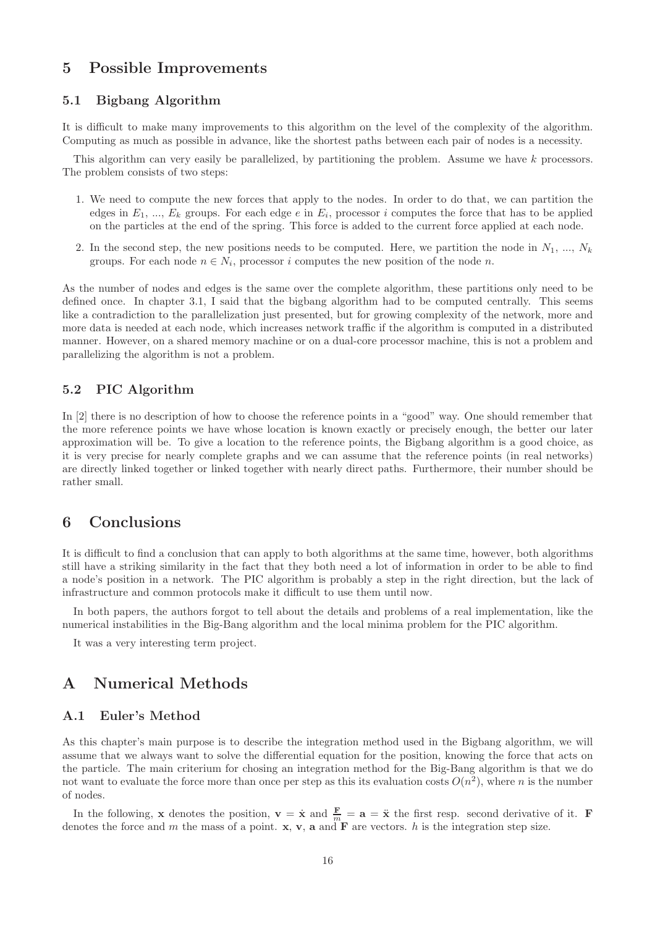### 5 Possible Improvements

#### 5.1 Bigbang Algorithm

It is difficult to make many improvements to this algorithm on the level of the complexity of the algorithm. Computing as much as possible in advance, like the shortest paths between each pair of nodes is a necessity.

This algorithm can very easily be parallelized, by partitioning the problem. Assume we have k processors. The problem consists of two steps:

- 1. We need to compute the new forces that apply to the nodes. In order to do that, we can partition the edges in  $E_1, ..., E_k$  groups. For each edge  $e$  in  $E_i$ , processor i computes the force that has to be applied on the particles at the end of the spring. This force is added to the current force applied at each node.
- 2. In the second step, the new positions needs to be computed. Here, we partition the node in  $N_1, ..., N_k$ groups. For each node  $n \in N_i$ , processor i computes the new position of the node n.

As the number of nodes and edges is the same over the complete algorithm, these partitions only need to be defined once. In chapter 3.1, I said that the bigbang algorithm had to be computed centrally. This seems like a contradiction to the parallelization just presented, but for growing complexity of the network, more and more data is needed at each node, which increases network traffic if the algorithm is computed in a distributed manner. However, on a shared memory machine or on a dual-core processor machine, this is not a problem and parallelizing the algorithm is not a problem.

#### 5.2 PIC Algorithm

In [2] there is no description of how to choose the reference points in a "good" way. One should remember that the more reference points we have whose location is known exactly or precisely enough, the better our later approximation will be. To give a location to the reference points, the Bigbang algorithm is a good choice, as it is very precise for nearly complete graphs and we can assume that the reference points (in real networks) are directly linked together or linked together with nearly direct paths. Furthermore, their number should be rather small.

## 6 Conclusions

It is difficult to find a conclusion that can apply to both algorithms at the same time, however, both algorithms still have a striking similarity in the fact that they both need a lot of information in order to be able to find a node's position in a network. The PIC algorithm is probably a step in the right direction, but the lack of infrastructure and common protocols make it difficult to use them until now.

In both papers, the authors forgot to tell about the details and problems of a real implementation, like the numerical instabilities in the Big-Bang algorithm and the local minima problem for the PIC algorithm.

It was a very interesting term project.

## A Numerical Methods

#### A.1 Euler's Method

As this chapter's main purpose is to describe the integration method used in the Bigbang algorithm, we will assume that we always want to solve the differential equation for the position, knowing the force that acts on the particle. The main criterium for chosing an integration method for the Big-Bang algorithm is that we do not want to evaluate the force more than once per step as this its evaluation costs  $O(n^2)$ , where n is the number of nodes.

In the following, **x** denotes the position,  $\mathbf{v} = \dot{\mathbf{x}}$  and  $\frac{\mathbf{F}}{m} = \mathbf{a} = \ddot{\mathbf{x}}$  the first resp. second derivative of it. **F** denotes the force and m the mass of a point.  $x, y, a$  and  $\mathbf F$  are vectors. h is the integration step size.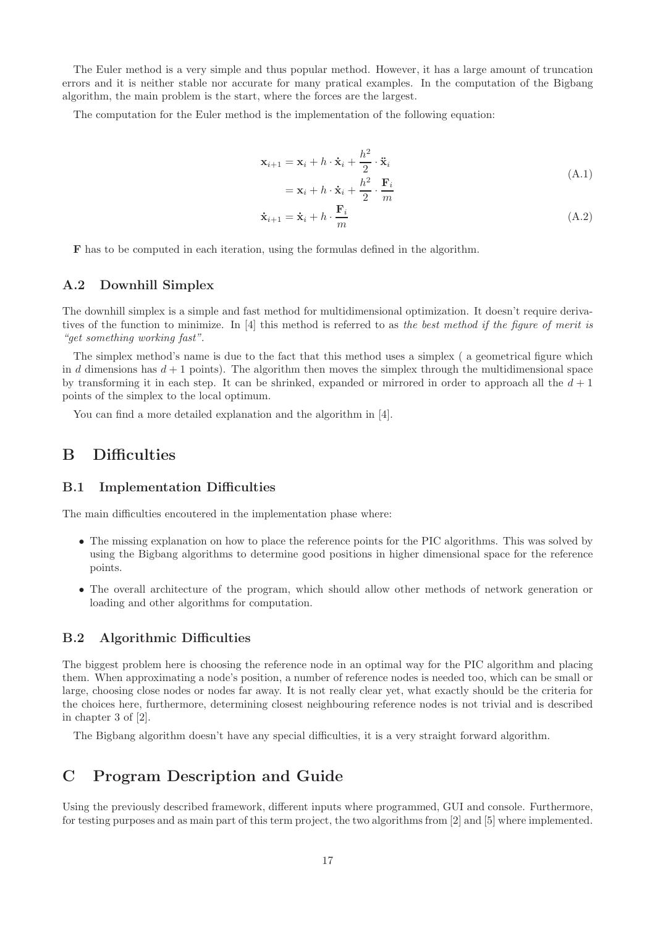The Euler method is a very simple and thus popular method. However, it has a large amount of truncation errors and it is neither stable nor accurate for many pratical examples. In the computation of the Bigbang algorithm, the main problem is the start, where the forces are the largest.

The computation for the Euler method is the implementation of the following equation:

$$
\mathbf{x}_{i+1} = \mathbf{x}_i + h \cdot \dot{\mathbf{x}}_i + \frac{h^2}{2} \cdot \ddot{\mathbf{x}}_i
$$
\n
$$
= \mathbf{x}_i + h \cdot \dot{\mathbf{x}}_i + \frac{h^2}{2} \cdot \frac{\mathbf{F}_i}{m}
$$
\n(A.1)

$$
= \mathbf{x}_i + h \cdot \mathbf{x}_i + \frac{\mathbf{F}_i}{2} \cdot \frac{m}{m}
$$
  

$$
\dot{\mathbf{x}}_{i+1} = \dot{\mathbf{x}}_i + h \cdot \frac{\mathbf{F}_i}{m}
$$
 (A.2)

F has to be computed in each iteration, using the formulas defined in the algorithm.

#### A.2 Downhill Simplex

The downhill simplex is a simple and fast method for multidimensional optimization. It doesn't require derivatives of the function to minimize. In [4] this method is referred to as the best method if the figure of merit is "get something working fast".

The simplex method's name is due to the fact that this method uses a simplex ( a geometrical figure which in d dimensions has  $d+1$  points). The algorithm then moves the simplex through the multidimensional space by transforming it in each step. It can be shrinked, expanded or mirrored in order to approach all the  $d+1$ points of the simplex to the local optimum.

You can find a more detailed explanation and the algorithm in [4].

## B Difficulties

#### B.1 Implementation Difficulties

The main difficulties encoutered in the implementation phase where:

- The missing explanation on how to place the reference points for the PIC algorithms. This was solved by using the Bigbang algorithms to determine good positions in higher dimensional space for the reference points.
- The overall architecture of the program, which should allow other methods of network generation or loading and other algorithms for computation.

#### B.2 Algorithmic Difficulties

The biggest problem here is choosing the reference node in an optimal way for the PIC algorithm and placing them. When approximating a node's position, a number of reference nodes is needed too, which can be small or large, choosing close nodes or nodes far away. It is not really clear yet, what exactly should be the criteria for the choices here, furthermore, determining closest neighbouring reference nodes is not trivial and is described in chapter 3 of [2].

The Bigbang algorithm doesn't have any special difficulties, it is a very straight forward algorithm.

## C Program Description and Guide

Using the previously described framework, different inputs where programmed, GUI and console. Furthermore, for testing purposes and as main part of this term project, the two algorithms from [2] and [5] where implemented.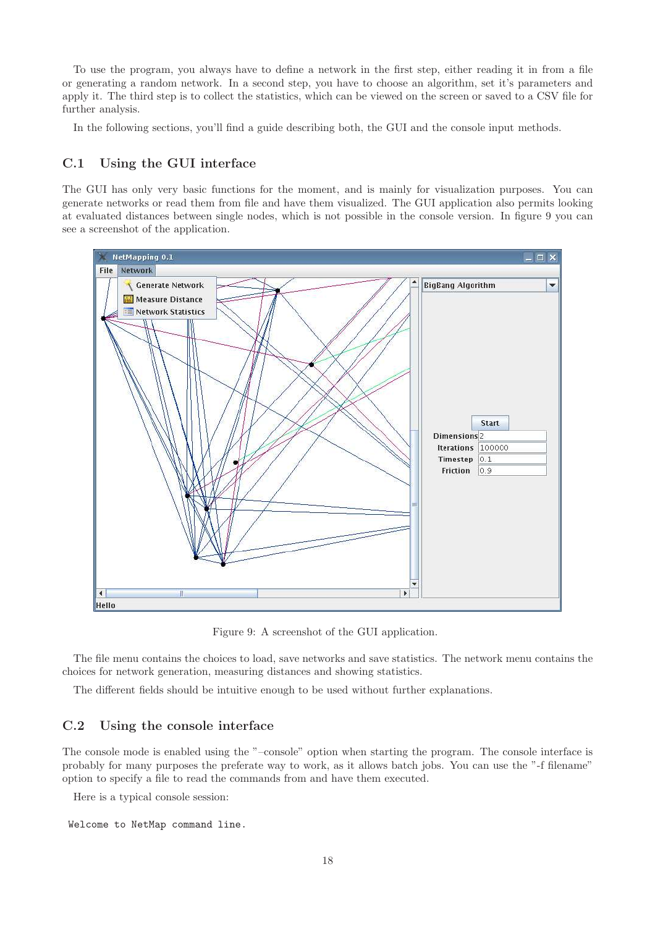To use the program, you always have to define a network in the first step, either reading it in from a file or generating a random network. In a second step, you have to choose an algorithm, set it's parameters and apply it. The third step is to collect the statistics, which can be viewed on the screen or saved to a CSV file for further analysis.

In the following sections, you'll find a guide describing both, the GUI and the console input methods.

#### C.1 Using the GUI interface

The GUI has only very basic functions for the moment, and is mainly for visualization purposes. You can generate networks or read them from file and have them visualized. The GUI application also permits looking at evaluated distances between single nodes, which is not possible in the console version. In figure 9 you can see a screenshot of the application.



Figure 9: A screenshot of the GUI application.

The file menu contains the choices to load, save networks and save statistics. The network menu contains the choices for network generation, measuring distances and showing statistics.

The different fields should be intuitive enough to be used without further explanations.

#### C.2 Using the console interface

The console mode is enabled using the "–console" option when starting the program. The console interface is probably for many purposes the preferate way to work, as it allows batch jobs. You can use the "-f filename" option to specify a file to read the commands from and have them executed.

Here is a typical console session:

```
Welcome to NetMap command line.
```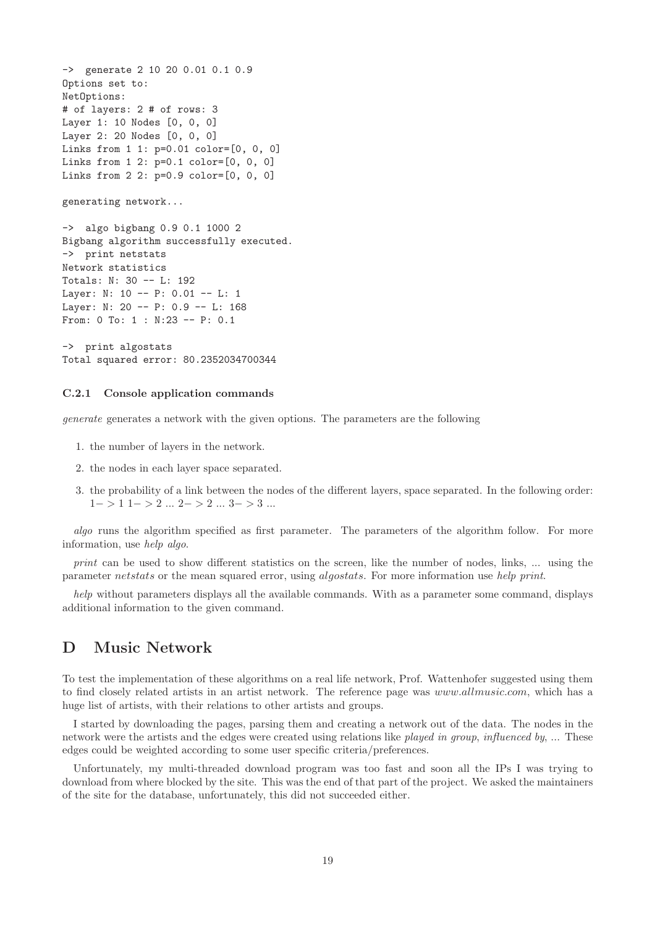```
-> generate 2 10 20 0.01 0.1 0.9
Options set to:
NetOptions:
# of layers: 2 # of rows: 3
Layer 1: 10 Nodes [0, 0, 0]
Layer 2: 20 Nodes [0, 0, 0]
Links from 1 1: p=0.01 color=[0, 0, 0]
Links from 1 2: p=0.1 color=[0, 0, 0]
Links from 2 2: p=0.9 color=[0, 0, 0]
generating network...
-> algo bigbang 0.9 0.1 1000 2
Bigbang algorithm successfully executed.
-> print netstats
Network statistics
Totals: N: 30 -- L: 192
Layer: N: 10 -- P: 0.01 -- L: 1
Layer: N: 20 -- P: 0.9 -- L: 168
From: 0 To: 1 : N:23 -- P: 0.1
-> print algostats
Total squared error: 80.2352034700344
```
#### C.2.1 Console application commands

generate generates a network with the given options. The parameters are the following

- 1. the number of layers in the network.
- 2. the nodes in each layer space separated.
- 3. the probability of a link between the nodes of the different layers, space separated. In the following order:  $1->1\ 1->2\ ... \ 2->2\ ... \ 3->3\ ...$

algo runs the algorithm specified as first parameter. The parameters of the algorithm follow. For more information, use help algo.

print can be used to show different statistics on the screen, like the number of nodes, links, ... using the parameter netstats or the mean squared error, using algostats. For more information use help print.

help without parameters displays all the available commands. With as a parameter some command, displays additional information to the given command.

## D Music Network

To test the implementation of these algorithms on a real life network, Prof. Wattenhofer suggested using them to find closely related artists in an artist network. The reference page was www.allmusic.com, which has a huge list of artists, with their relations to other artists and groups.

I started by downloading the pages, parsing them and creating a network out of the data. The nodes in the network were the artists and the edges were created using relations like played in group, influenced by, ... These edges could be weighted according to some user specific criteria/preferences.

Unfortunately, my multi-threaded download program was too fast and soon all the IPs I was trying to download from where blocked by the site. This was the end of that part of the project. We asked the maintainers of the site for the database, unfortunately, this did not succeeded either.